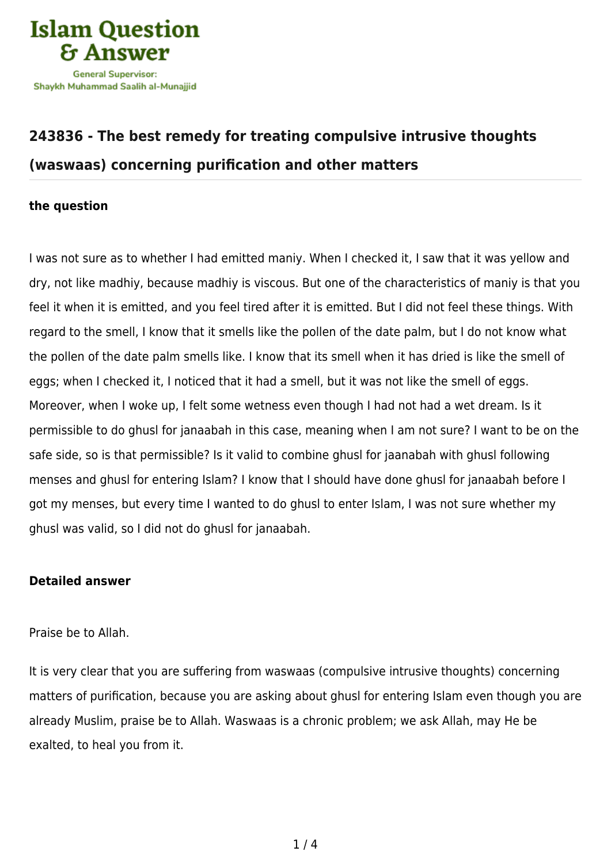

## **[243836 - The best remedy for treating compulsive intrusive thoughts](https://islamqa.com/en/answers/243836/the-best-remedy-for-treating-compulsive-intrusive-thoughts-waswaas-concerning-purification-and-other-matters) [\(waswaas\) concerning purification and other matters](https://islamqa.com/en/answers/243836/the-best-remedy-for-treating-compulsive-intrusive-thoughts-waswaas-concerning-purification-and-other-matters)**

## **the question**

I was not sure as to whether I had emitted maniy. When I checked it, I saw that it was yellow and dry, not like madhiy, because madhiy is viscous. But one of the characteristics of maniy is that you feel it when it is emitted, and you feel tired after it is emitted. But I did not feel these things. With regard to the smell, I know that it smells like the pollen of the date palm, but I do not know what the pollen of the date palm smells like. I know that its smell when it has dried is like the smell of eggs; when I checked it, I noticed that it had a smell, but it was not like the smell of eggs. Moreover, when I woke up, I felt some wetness even though I had not had a wet dream. Is it permissible to do ghusl for janaabah in this case, meaning when I am not sure? I want to be on the safe side, so is that permissible? Is it valid to combine ghusl for jaanabah with ghusl following menses and ghusl for entering Islam? I know that I should have done ghusl for janaabah before I got my menses, but every time I wanted to do ghusl to enter Islam, I was not sure whether my ghusl was valid, so I did not do ghusl for janaabah.

## **Detailed answer**

Praise be to Allah.

It is very clear that you are suffering from waswaas (compulsive intrusive thoughts) concerning matters of purification, because you are asking about ghusl for entering Islam even though you are already Muslim, praise be to Allah. Waswaas is a chronic problem; we ask Allah, may He be exalted, to heal you from it.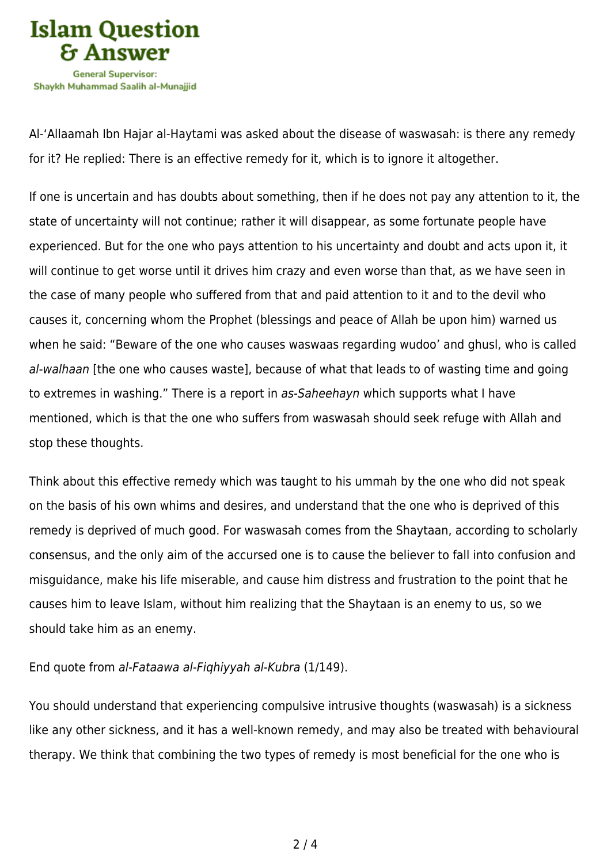

Al-'Allaamah Ibn Hajar al-Haytami was asked about the disease of waswasah: is there any remedy for it? He replied: There is an effective remedy for it, which is to ignore it altogether.

If one is uncertain and has doubts about something, then if he does not pay any attention to it, the state of uncertainty will not continue; rather it will disappear, as some fortunate people have experienced. But for the one who pays attention to his uncertainty and doubt and acts upon it, it will continue to get worse until it drives him crazy and even worse than that, as we have seen in the case of many people who suffered from that and paid attention to it and to the devil who causes it, concerning whom the Prophet (blessings and peace of Allah be upon him) warned us when he said: "Beware of the one who causes waswaas regarding wudoo' and ghusl, who is called al-walhaan [the one who causes waste], because of what that leads to of wasting time and going to extremes in washing." There is a report in as-Saheehayn which supports what I have mentioned, which is that the one who suffers from waswasah should seek refuge with Allah and stop these thoughts.

Think about this effective remedy which was taught to his ummah by the one who did not speak on the basis of his own whims and desires, and understand that the one who is deprived of this remedy is deprived of much good. For waswasah comes from the Shaytaan, according to scholarly consensus, and the only aim of the accursed one is to cause the believer to fall into confusion and misguidance, make his life miserable, and cause him distress and frustration to the point that he causes him to leave Islam, without him realizing that the Shaytaan is an enemy to us, so we should take him as an enemy.

## End quote from al-Fataawa al-Fiqhiyyah al-Kubra (1/149).

You should understand that experiencing compulsive intrusive thoughts (waswasah) is a sickness like any other sickness, and it has a well-known remedy, and may also be treated with behavioural therapy. We think that combining the two types of remedy is most beneficial for the one who is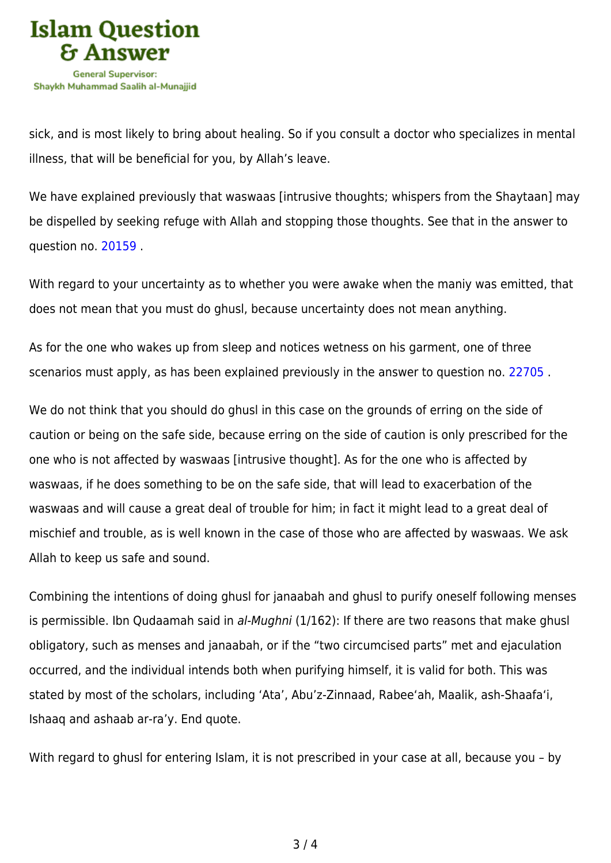

sick, and is most likely to bring about healing. So if you consult a doctor who specializes in mental illness, that will be beneficial for you, by Allah's leave.

We have explained previously that waswaas [intrusive thoughts; whispers from the Shaytaan] may be dispelled by seeking refuge with Allah and stopping those thoughts. See that in the answer to question no. [20159](https://islamqa.com/en/answers/20159) .

With regard to your uncertainty as to whether you were awake when the maniy was emitted, that does not mean that you must do ghusl, because uncertainty does not mean anything.

As for the one who wakes up from sleep and notices wetness on his garment, one of three scenarios must apply, as has been explained previously in the answer to question no. [22705](https://islamqa.com/en/answers/22705) .

We do not think that you should do ghusl in this case on the grounds of erring on the side of caution or being on the safe side, because erring on the side of caution is only prescribed for the one who is not affected by waswaas [intrusive thought]. As for the one who is affected by waswaas, if he does something to be on the safe side, that will lead to exacerbation of the waswaas and will cause a great deal of trouble for him; in fact it might lead to a great deal of mischief and trouble, as is well known in the case of those who are affected by waswaas. We ask Allah to keep us safe and sound.

Combining the intentions of doing ghusl for janaabah and ghusl to purify oneself following menses is permissible. Ibn Qudaamah said in al-Mughni (1/162): If there are two reasons that make ghusl obligatory, such as menses and janaabah, or if the "two circumcised parts" met and ejaculation occurred, and the individual intends both when purifying himself, it is valid for both. This was stated by most of the scholars, including 'Ata', Abu'z-Zinnaad, Rabee'ah, Maalik, ash-Shaafa'i, Ishaaq and ashaab ar-ra'y. End quote.

With regard to ghusl for entering Islam, it is not prescribed in your case at all, because you - by